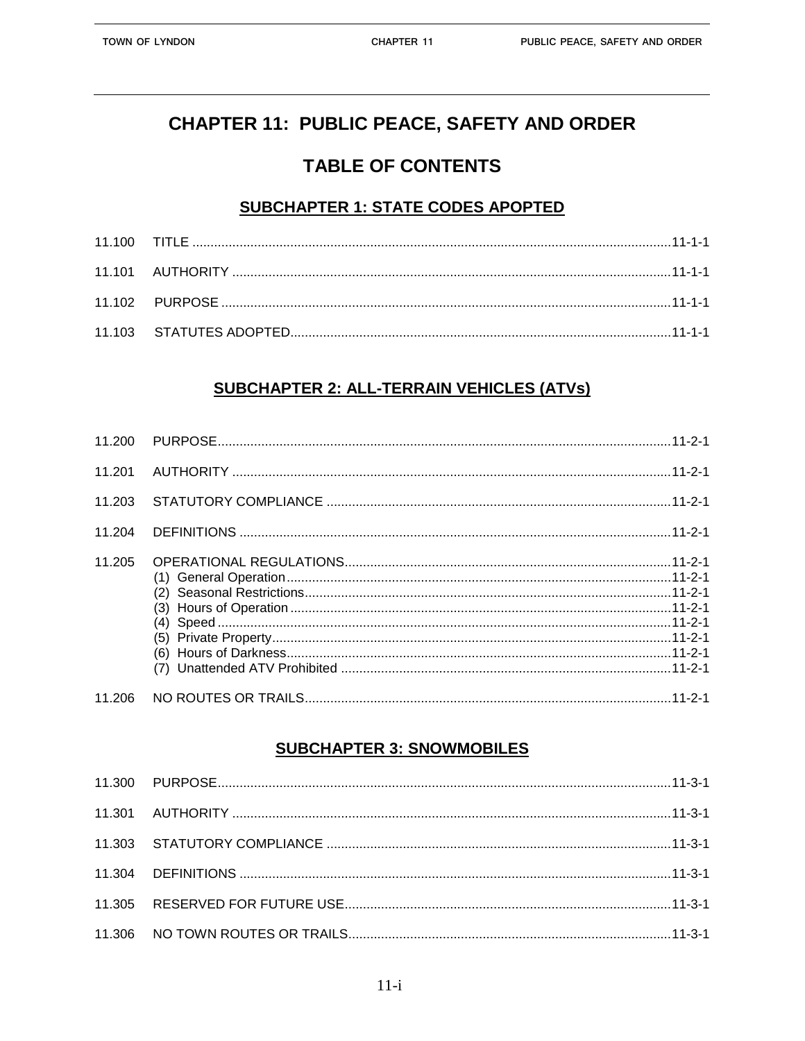# **CHAPTER 11: PUBLIC PEACE, SAFETY AND ORDER**

## **TABLE OF CONTENTS**

#### **SUBCHAPTER 1: STATE CODES APOPTED**

## **SUBCHAPTER 2: ALL-TERRAIN VEHICLES (ATVS)**

| 11.201 |  |
|--------|--|
| 11.203 |  |
| 11.204 |  |
| 11.205 |  |
| 11.206 |  |

### **SUBCHAPTER 3: SNOWMOBILES**